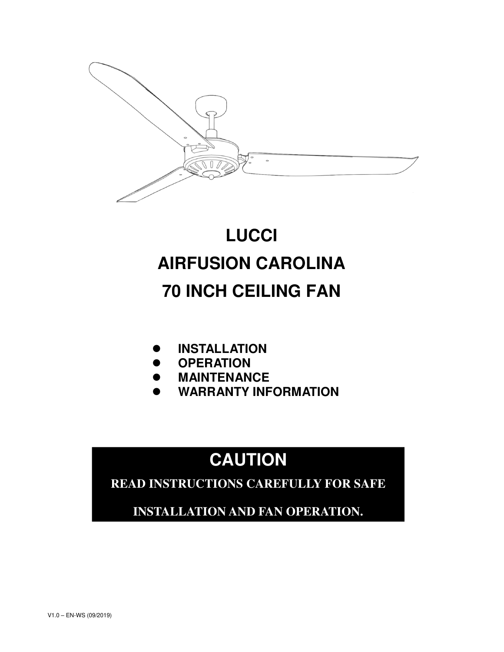

# **LUCCI AIRFUSION CAROLINA 70 INCH CEILING FAN**

- **INSTALLATION**
- **OPERATION**
- **MAINTENANCE**
- **WARRANTY INFORMATION**

# **CAUTION**

**READ INSTRUCTIONS CAREFULLY FOR SAFE** 

**INSTALLATION AND FAN OPERATION.**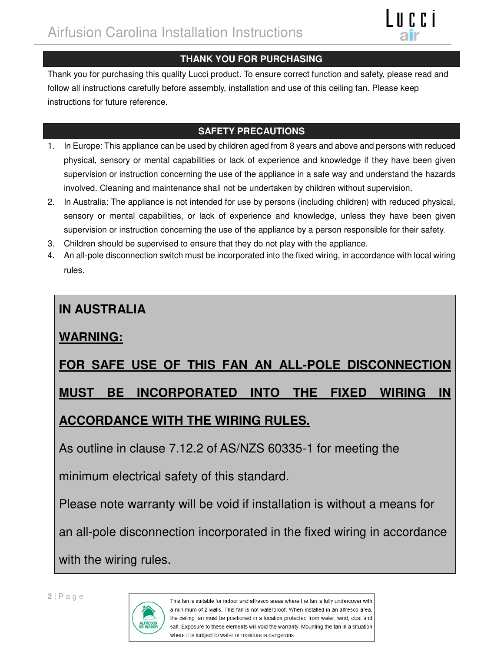

## **THANK YOU FOR PURCHASING**

Thank you for purchasing this quality Lucci product. To ensure correct function and safety, please read and follow all instructions carefully before assembly, installation and use of this ceiling fan. Please keep instructions for future reference.

## **SAFETY PRECAUTIONS**

- 1. In Europe: This appliance can be used by children aged from 8 years and above and persons with reduced physical, sensory or mental capabilities or lack of experience and knowledge if they have been given supervision or instruction concerning the use of the appliance in a safe way and understand the hazards involved. Cleaning and maintenance shall not be undertaken by children without supervision.
- 2. In Australia: The appliance is not intended for use by persons (including children) with reduced physical, sensory or mental capabilities, or lack of experience and knowledge, unless they have been given supervision or instruction concerning the use of the appliance by a person responsible for their safety.
- 3. Children should be supervised to ensure that they do not play with the appliance.
- 4. An all-pole disconnection switch must be incorporated into the fixed wiring, in accordance with local wiring rules.

# **IN AUSTRALIA**

# **WARNING:**

# **FOR SAFE USE OF THIS FAN AN ALL-POLE DISCONNECTION**

# **MUST BE INCORPORATED INTO THE FIXED WIRING IN**

# **ACCORDANCE WITH THE WIRING RULES.**

As outline in clause 7.12.2 of AS/NZS 60335-1 for meeting the

minimum electrical safety of this standard.

Please note warranty will be void if installation is without a means for

an all-pole disconnection incorporated in the fixed wiring in accordance

with the wiring rules.

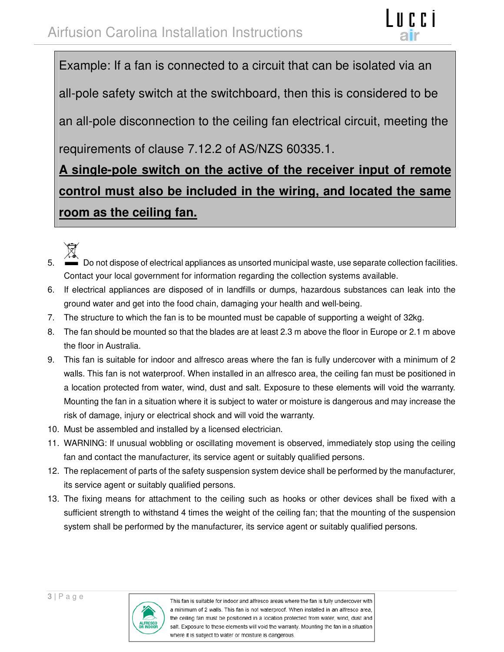Example: If a fan is connected to a circuit that can be isolated via an all-pole safety switch at the switchboard, then this is considered to be an all-pole disconnection to the ceiling fan electrical circuit, meeting the requirements of clause 7.12.2 of AS/NZS 60335.1.

# **A single-pole switch on the active of the receiver input of remote control must also be included in the wiring, and located the same room as the ceiling fan.**



- 5. Do not dispose of electrical appliances as unsorted municipal waste, use separate collection facilities. Contact your local government for information regarding the collection systems available.
- 6. If electrical appliances are disposed of in landfills or dumps, hazardous substances can leak into the ground water and get into the food chain, damaging your health and well-being.
- 7. The structure to which the fan is to be mounted must be capable of supporting a weight of 32kg.
- 8. The fan should be mounted so that the blades are at least 2.3 m above the floor in Europe or 2.1 m above the floor in Australia.
- 9. This fan is suitable for indoor and alfresco areas where the fan is fully undercover with a minimum of 2 walls. This fan is not waterproof. When installed in an alfresco area, the ceiling fan must be positioned in a location protected from water, wind, dust and salt. Exposure to these elements will void the warranty. Mounting the fan in a situation where it is subject to water or moisture is dangerous and may increase the risk of damage, injury or electrical shock and will void the warranty.
- 10. Must be assembled and installed by a licensed electrician.
- 11. WARNING: If unusual wobbling or oscillating movement is observed, immediately stop using the ceiling fan and contact the manufacturer, its service agent or suitably qualified persons.
- 12. The replacement of parts of the safety suspension system device shall be performed by the manufacturer, its service agent or suitably qualified persons.
- 13. The fixing means for attachment to the ceiling such as hooks or other devices shall be fixed with a sufficient strength to withstand 4 times the weight of the ceiling fan; that the mounting of the suspension system shall be performed by the manufacturer, its service agent or suitably qualified persons.

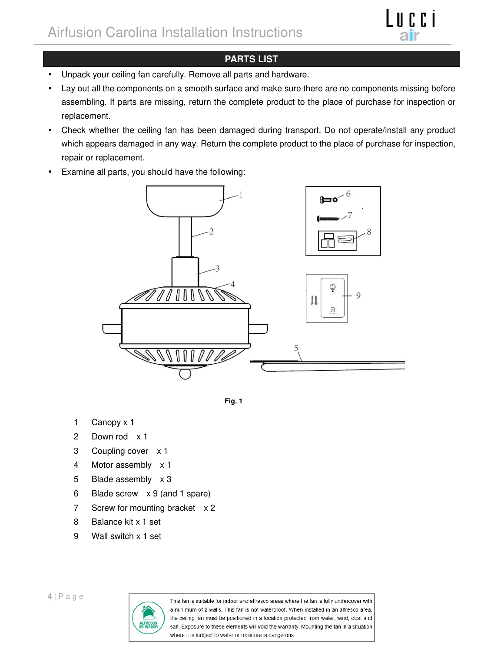

### **PARTS LIST**

- Unpack your ceiling fan carefully. Remove all parts and hardware.
- Lay out all the components on a smooth surface and make sure there are no components missing before assembling. If parts are missing, return the complete product to the place of purchase for inspection or replacement.
- Check whether the ceiling fan has been damaged during transport. Do not operate/install any product which appears damaged in any way. Return the complete product to the place of purchase for inspection, repair or replacement.
- Examine all parts, you should have the following:





- 1 Canopy x 1
- 2 Down rod x 1
- 3 Coupling cover x 1
- 4 Motor assembly x 1
- 5 Blade assembly x 3
- 6 Blade screw x 9 (and 1 spare)
- 7 Screw for mounting bracket x 2
- 8 Balance kit x 1 set
- 9 Wall switch x 1 set

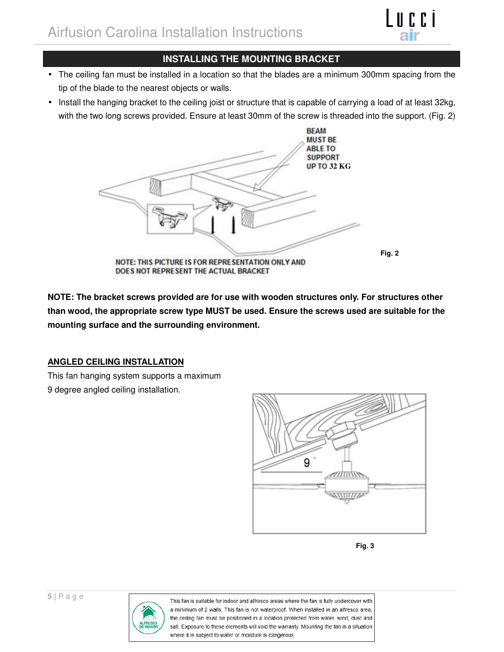

### **INSTALLING THE MOUNTING BRACKET**

- The ceiling fan must be installed in a location so that the blades are a minimum 300mm spacing from the tip of the blade to the nearest objects or walls.
- Install the hanging bracket to the ceiling joist or structure that is capable of carrying a load of at least 32kg, with the two long screws provided. Ensure at least 30mm of the screw is threaded into the support. (Fig. 2)



**NOTE: The bracket screws provided are for use with wooden structures only. For structures other than wood, the appropriate screw type MUST be used. Ensure the screws used are suitable for the mounting surface and the surrounding environment.** 

### **ANGLED CEILING INSTALLATION**

This fan hanging system supports a maximum 9 degree angled ceiling installation.





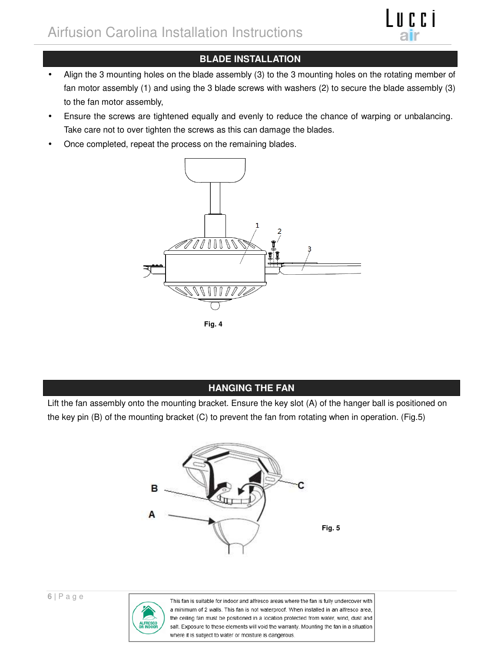

## **BLADE INSTALLATION**

- Align the 3 mounting holes on the blade assembly (3) to the 3 mounting holes on the rotating member of fan motor assembly (1) and using the 3 blade screws with washers (2) to secure the blade assembly (3) to the fan motor assembly,
- Ensure the screws are tightened equally and evenly to reduce the chance of warping or unbalancing. Take care not to over tighten the screws as this can damage the blades.
- Once completed, repeat the process on the remaining blades.



**Fig. 4** 

**HANGING THE FAN** 

Lift the fan assembly onto the mounting bracket. Ensure the key slot (A) of the hanger ball is positioned on the key pin (B) of the mounting bracket (C) to prevent the fan from rotating when in operation. (Fig.5)



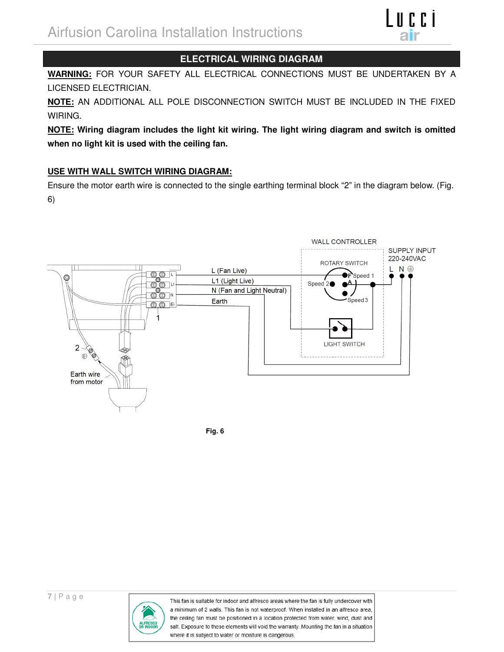

### **ELECTRICAL WIRING DIAGRAM**

**WARNING:** FOR YOUR SAFETY ALL ELECTRICAL CONNECTIONS MUST BE UNDERTAKEN BY A LICENSED ELECTRICIAN.

**NOTE:** AN ADDITIONAL ALL POLE DISCONNECTION SWITCH MUST BE INCLUDED IN THE FIXED WIRING.

**NOTE: Wiring diagram includes the light kit wiring. The light wiring diagram and switch is omitted when no light kit is used with the ceiling fan.** 

### **USE WITH WALL SWITCH WIRING DIAGRAM:**

Ensure the motor earth wire is connected to the single earthing terminal block "2" in the diagram below. (Fig. 6)



**Fig. 6** 

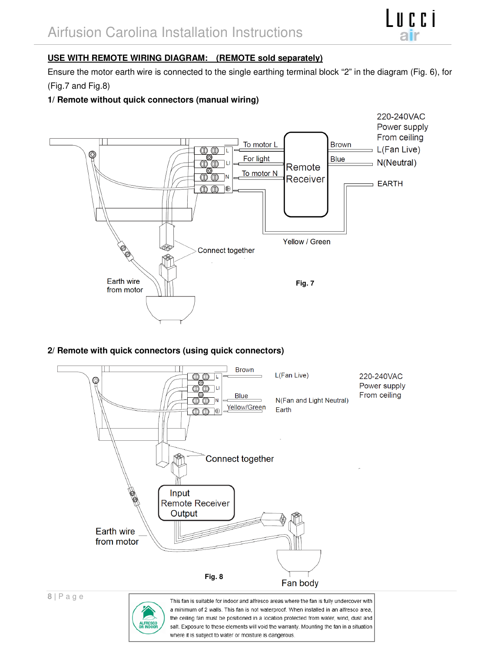

#### **USE WITH REMOTE WIRING DIAGRAM: (REMOTE sold separately)**

Ensure the motor earth wire is connected to the single earthing terminal block "2" in the diagram (Fig. 6), for (Fig.7 and Fig.8)

### **1/ Remote without quick connectors (manual wiring)**



#### **2/ Remote with quick connectors (using quick connectors)**



the ceiling fan must be positioned in a location protected from water, wind, dust and salt. Exposure to these elements will void the warranty. Mounting the fan in a situation where it is subject to water or moisture is dangerous.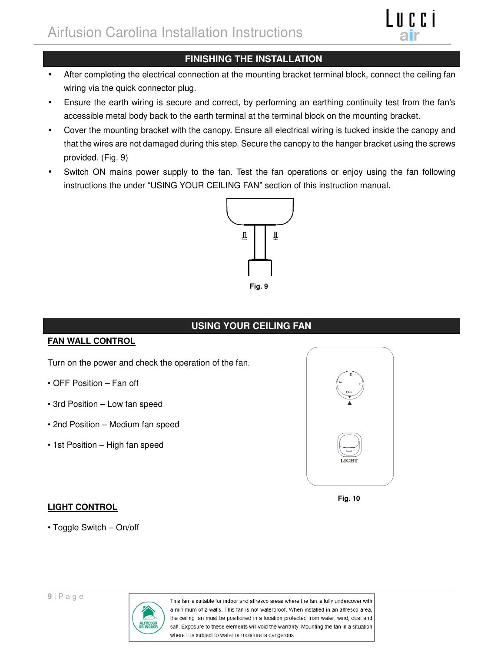

## **FINISHING THE INSTALLATION**

- After completing the electrical connection at the mounting bracket terminal block, connect the ceiling fan wiring via the quick connector plug.
- Ensure the earth wiring is secure and correct, by performing an earthing continuity test from the fan's accessible metal body back to the earth terminal at the terminal block on the mounting bracket.
- Cover the mounting bracket with the canopy. Ensure all electrical wiring is tucked inside the canopy and that the wires are not damaged during this step. Secure the canopy to the hanger bracket using the screws provided. (Fig. 9)
- Switch ON mains power supply to the fan. Test the fan operations or enjoy using the fan following instructions the under "USING YOUR CEILING FAN" section of this instruction manual.



## **USING YOUR CEILING FAN**

#### **FAN WALL CONTROL**

Turn on the power and check the operation of the fan.

- OFF Position Fan off
- 3rd Position Low fan speed
- 2nd Position Medium fan speed
- 1st Position High fan speed



**Fig. 10** 

### **LIGHT CONTROL**

• Toggle Switch – On/off

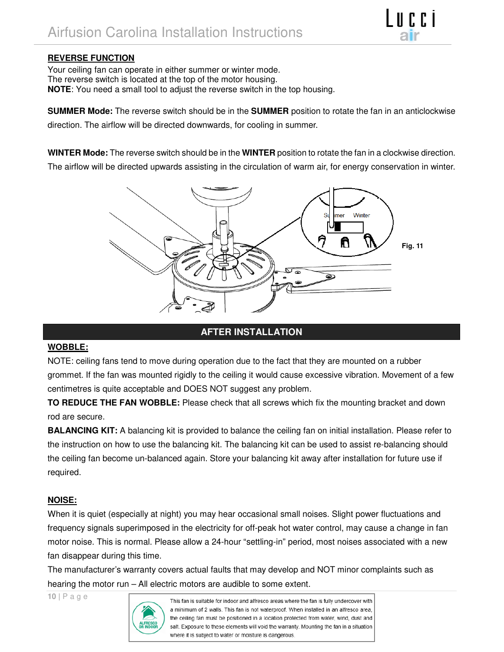#### **REVERSE FUNCTION**

Your ceiling fan can operate in either summer or winter mode. The reverse switch is located at the top of the motor housing. **NOTE**: You need a small tool to adjust the reverse switch in the top housing.

**SUMMER Mode:** The reverse switch should be in the **SUMMER** position to rotate the fan in an anticlockwise direction. The airflow will be directed downwards, for cooling in summer.

**ILCCI** 

**WINTER Mode:** The reverse switch should be in the **WINTER** position to rotate the fan in a clockwise direction. The airflow will be directed upwards assisting in the circulation of warm air, for energy conservation in winter.



### **AFTER INSTALLATION**

#### **WOBBLE:**

NOTE: ceiling fans tend to move during operation due to the fact that they are mounted on a rubber grommet. If the fan was mounted rigidly to the ceiling it would cause excessive vibration. Movement of a few centimetres is quite acceptable and DOES NOT suggest any problem.

**TO REDUCE THE FAN WOBBLE:** Please check that all screws which fix the mounting bracket and down rod are secure.

**BALANCING KIT:** A balancing kit is provided to balance the ceiling fan on initial installation. Please refer to the instruction on how to use the balancing kit. The balancing kit can be used to assist re-balancing should the ceiling fan become un-balanced again. Store your balancing kit away after installation for future use if required.

#### **NOISE:**

When it is quiet (especially at night) you may hear occasional small noises. Slight power fluctuations and frequency signals superimposed in the electricity for off-peak hot water control, may cause a change in fan motor noise. This is normal. Please allow a 24-hour "settling-in" period, most noises associated with a new fan disappear during this time.

The manufacturer's warranty covers actual faults that may develop and NOT minor complaints such as hearing the motor run – All electric motors are audible to some extent.

**10 |** P a g e

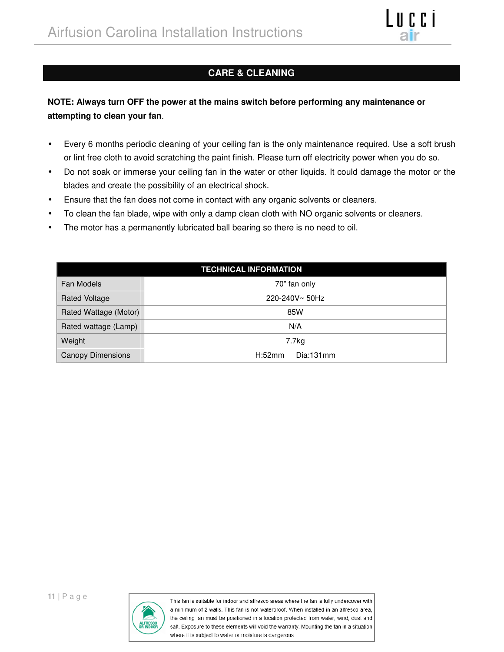

## **CARE & CLEANING**

## **NOTE: Always turn OFF the power at the mains switch before performing any maintenance or attempting to clean your fan**.

- Every 6 months periodic cleaning of your ceiling fan is the only maintenance required. Use a soft brush or lint free cloth to avoid scratching the paint finish. Please turn off electricity power when you do so.
- Do not soak or immerse your ceiling fan in the water or other liquids. It could damage the motor or the blades and create the possibility of an electrical shock.
- Ensure that the fan does not come in contact with any organic solvents or cleaners.
- To clean the fan blade, wipe with only a damp clean cloth with NO organic solvents or cleaners.
- The motor has a permanently lubricated ball bearing so there is no need to oil.

| <b>TECHNICAL INFORMATION</b> |                     |  |
|------------------------------|---------------------|--|
| Fan Models                   | 70" fan only        |  |
| <b>Rated Voltage</b>         | 220-240V~50Hz       |  |
| Rated Wattage (Motor)        | 85W                 |  |
| Rated wattage (Lamp)         | N/A                 |  |
| Weight                       | 7.7kg               |  |
| <b>Canopy Dimensions</b>     | H:52mm<br>Dia:131mm |  |

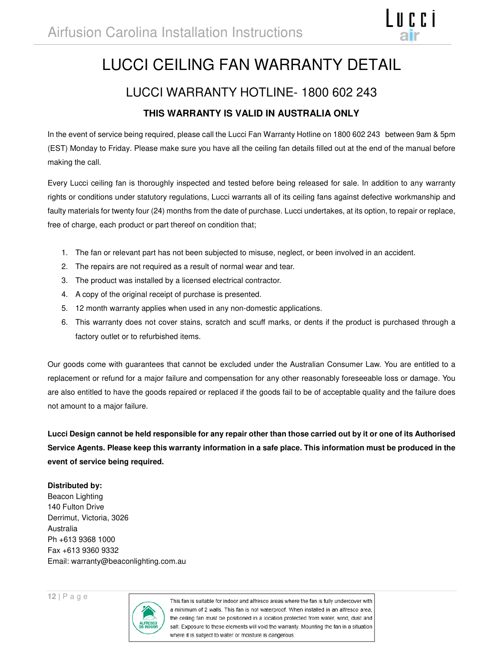# LUCCI CEILING FAN WARRANTY DETAIL

# LUCCI WARRANTY HOTLINE- 1800 602 243 **THIS WARRANTY IS VALID IN AUSTRALIA ONLY**

In the event of service being required, please call the Lucci Fan Warranty Hotline on 1800 602 243 between 9am & 5pm (EST) Monday to Friday. Please make sure you have all the ceiling fan details filled out at the end of the manual before making the call.

Every Lucci ceiling fan is thoroughly inspected and tested before being released for sale. In addition to any warranty rights or conditions under statutory regulations, Lucci warrants all of its ceiling fans against defective workmanship and faulty materials for twenty four (24) months from the date of purchase. Lucci undertakes, at its option, to repair or replace, free of charge, each product or part thereof on condition that;

- 1. The fan or relevant part has not been subjected to misuse, neglect, or been involved in an accident.
- 2. The repairs are not required as a result of normal wear and tear.
- 3. The product was installed by a licensed electrical contractor.
- 4. A copy of the original receipt of purchase is presented.
- 5. 12 month warranty applies when used in any non-domestic applications.
- 6. This warranty does not cover stains, scratch and scuff marks, or dents if the product is purchased through a factory outlet or to refurbished items.

Our goods come with guarantees that cannot be excluded under the Australian Consumer Law. You are entitled to a replacement or refund for a major failure and compensation for any other reasonably foreseeable loss or damage. You are also entitled to have the goods repaired or replaced if the goods fail to be of acceptable quality and the failure does not amount to a major failure.

**Lucci Design cannot be held responsible for any repair other than those carried out by it or one of its Authorised Service Agents. Please keep this warranty information in a safe place. This information must be produced in the event of service being required.**

#### **Distributed by:**

Beacon Lighting 140 Fulton Drive Derrimut, Victoria, 3026 Australia Ph +613 9368 1000 Fax +613 9360 9332 Email: warranty@beaconlighting.com.au